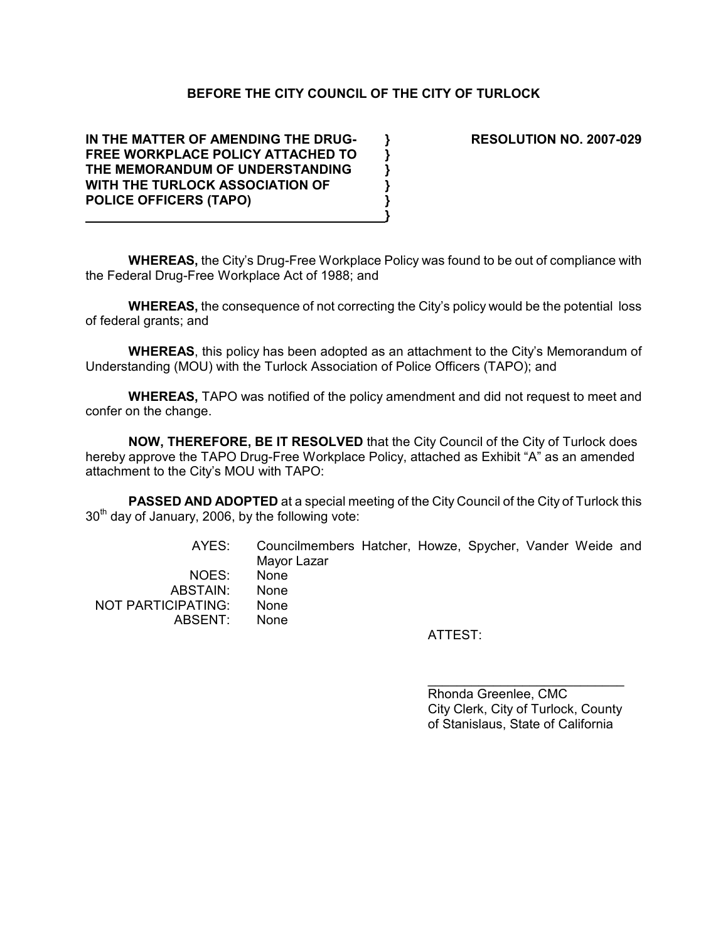# BEFORE THE CITY COUNCIL OF THE CITY OF TURLOCK

IN THE MATTER OF AMENDING THE DRUG- } RESOLUTION NO. 2007-029 FREE WORKPLACE POLICY ATTACHED TO  $\}$ THE MEMORANDUM OF UNDERSTANDING  $\}$ WITH THE TURLOCK ASSOCIATION OF  $\hspace{1cm} \}$ POLICE OFFICERS (TAPO)  $\}$ 

ABSENT: None

WHEREAS, the City's Drug-Free Workplace Policy was found to be out of compliance with the Federal Drug-Free Workplace Act of 1988; and

}

WHEREAS, the consequence of not correcting the City's policy would be the potential loss of federal grants; and

WHEREAS, this policy has been adopted as an attachment to the City's Memorandum of Understanding (MOU) with the Turlock Association of Police Officers (TAPO); and

WHEREAS, TAPO was notified of the policy amendment and did not request to meet and confer on the change.

NOW, THEREFORE, BE IT RESOLVED that the City Council of the City of Turlock does hereby approve the TAPO Drug-Free Workplace Policy, attached as Exhibit "A" as an amended attachment to the City's MOU with TAPO:

**PASSED AND ADOPTED** at a special meeting of the City Council of the City of Turlock this  $30<sup>th</sup>$  day of January, 2006, by the following vote:

 AYES: Councilmembers Hatcher, Howze, Spycher, Vander Weide and Mayor Lazar NOES: None ABSTAIN: None NOT PARTICIPATING: None

ATTEST:

Rhonda Greenlee, CMC City Clerk, City of Turlock, County of Stanislaus, State of California

\_\_\_\_\_\_\_\_\_\_\_\_\_\_\_\_\_\_\_\_\_\_\_\_\_\_\_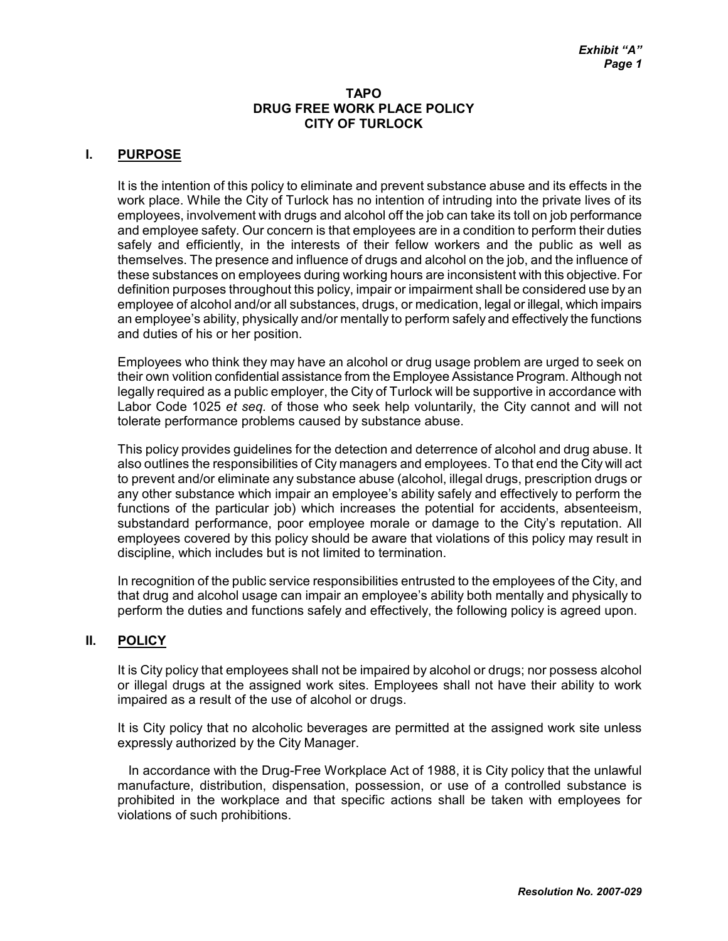### TAPO DRUG FREE WORK PLACE POLICY CITY OF TURLOCK

## I. PURPOSE

It is the intention of this policy to eliminate and prevent substance abuse and its effects in the work place. While the City of Turlock has no intention of intruding into the private lives of its employees, involvement with drugs and alcohol off the job can take its toll on job performance and employee safety. Our concern is that employees are in a condition to perform their duties safely and efficiently, in the interests of their fellow workers and the public as well as themselves. The presence and influence of drugs and alcohol on the job, and the influence of these substances on employees during working hours are inconsistent with this objective. For definition purposes throughout this policy, impair or impairment shall be considered use by an employee of alcohol and/or all substances, drugs, or medication, legal or illegal, which impairs an employee's ability, physically and/or mentally to perform safely and effectively the functions and duties of his or her position.

Employees who think they may have an alcohol or drug usage problem are urged to seek on their own volition confidential assistance from the Employee Assistance Program. Although not legally required as a public employer, the City of Turlock will be supportive in accordance with Labor Code 1025 et seq. of those who seek help voluntarily, the City cannot and will not tolerate performance problems caused by substance abuse.

This policy provides guidelines for the detection and deterrence of alcohol and drug abuse. It also outlines the responsibilities of City managers and employees. To that end the City will act to prevent and/or eliminate any substance abuse (alcohol, illegal drugs, prescription drugs or any other substance which impair an employee's ability safely and effectively to perform the functions of the particular job) which increases the potential for accidents, absenteeism, substandard performance, poor employee morale or damage to the City's reputation. All employees covered by this policy should be aware that violations of this policy may result in discipline, which includes but is not limited to termination.

In recognition of the public service responsibilities entrusted to the employees of the City, and that drug and alcohol usage can impair an employee's ability both mentally and physically to perform the duties and functions safely and effectively, the following policy is agreed upon.

#### II. POLICY

It is City policy that employees shall not be impaired by alcohol or drugs; nor possess alcohol or illegal drugs at the assigned work sites. Employees shall not have their ability to work impaired as a result of the use of alcohol or drugs.

It is City policy that no alcoholic beverages are permitted at the assigned work site unless expressly authorized by the City Manager.

 In accordance with the Drug-Free Workplace Act of 1988, it is City policy that the unlawful manufacture, distribution, dispensation, possession, or use of a controlled substance is prohibited in the workplace and that specific actions shall be taken with employees for violations of such prohibitions.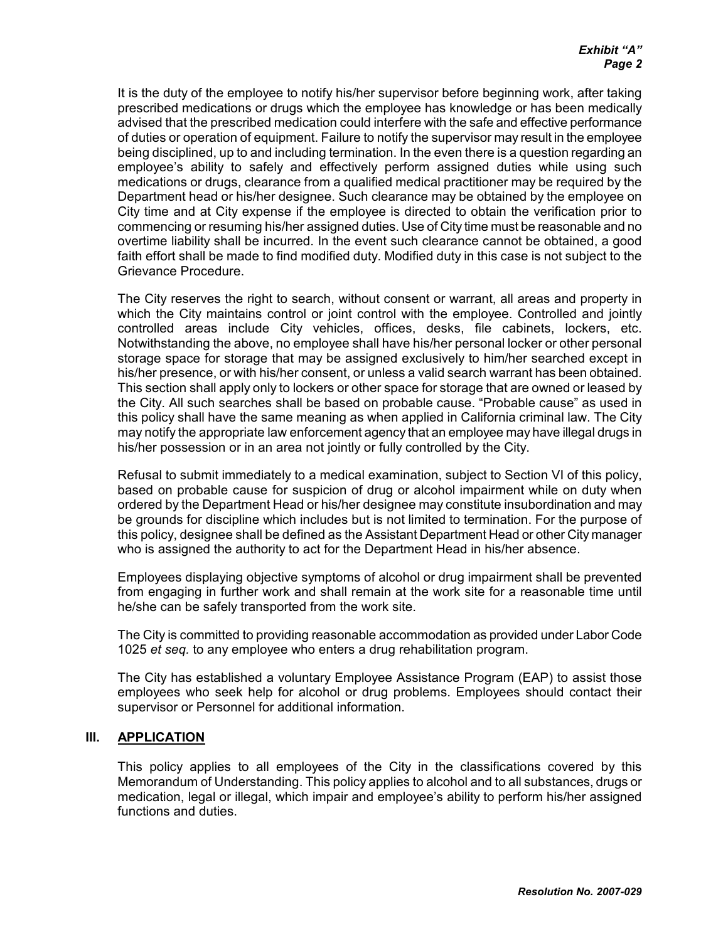It is the duty of the employee to notify his/her supervisor before beginning work, after taking prescribed medications or drugs which the employee has knowledge or has been medically advised that the prescribed medication could interfere with the safe and effective performance of duties or operation of equipment. Failure to notify the supervisor may result in the employee being disciplined, up to and including termination. In the even there is a question regarding an employee's ability to safely and effectively perform assigned duties while using such medications or drugs, clearance from a qualified medical practitioner may be required by the Department head or his/her designee. Such clearance may be obtained by the employee on City time and at City expense if the employee is directed to obtain the verification prior to commencing or resuming his/her assigned duties. Use of City time must be reasonable and no overtime liability shall be incurred. In the event such clearance cannot be obtained, a good faith effort shall be made to find modified duty. Modified duty in this case is not subject to the Grievance Procedure.

The City reserves the right to search, without consent or warrant, all areas and property in which the City maintains control or joint control with the employee. Controlled and jointly controlled areas include City vehicles, offices, desks, file cabinets, lockers, etc. Notwithstanding the above, no employee shall have his/her personal locker or other personal storage space for storage that may be assigned exclusively to him/her searched except in his/her presence, or with his/her consent, or unless a valid search warrant has been obtained. This section shall apply only to lockers or other space for storage that are owned or leased by the City. All such searches shall be based on probable cause. "Probable cause" as used in this policy shall have the same meaning as when applied in California criminal law. The City may notify the appropriate law enforcement agency that an employee may have illegal drugs in his/her possession or in an area not jointly or fully controlled by the City.

Refusal to submit immediately to a medical examination, subject to Section VI of this policy, based on probable cause for suspicion of drug or alcohol impairment while on duty when ordered by the Department Head or his/her designee may constitute insubordination and may be grounds for discipline which includes but is not limited to termination. For the purpose of this policy, designee shall be defined as the Assistant Department Head or other City manager who is assigned the authority to act for the Department Head in his/her absence.

Employees displaying objective symptoms of alcohol or drug impairment shall be prevented from engaging in further work and shall remain at the work site for a reasonable time until he/she can be safely transported from the work site.

The City is committed to providing reasonable accommodation as provided under Labor Code 1025 et seq. to any employee who enters a drug rehabilitation program.

The City has established a voluntary Employee Assistance Program (EAP) to assist those employees who seek help for alcohol or drug problems. Employees should contact their supervisor or Personnel for additional information.

#### III. APPLICATION

This policy applies to all employees of the City in the classifications covered by this Memorandum of Understanding. This policy applies to alcohol and to all substances, drugs or medication, legal or illegal, which impair and employee's ability to perform his/her assigned functions and duties.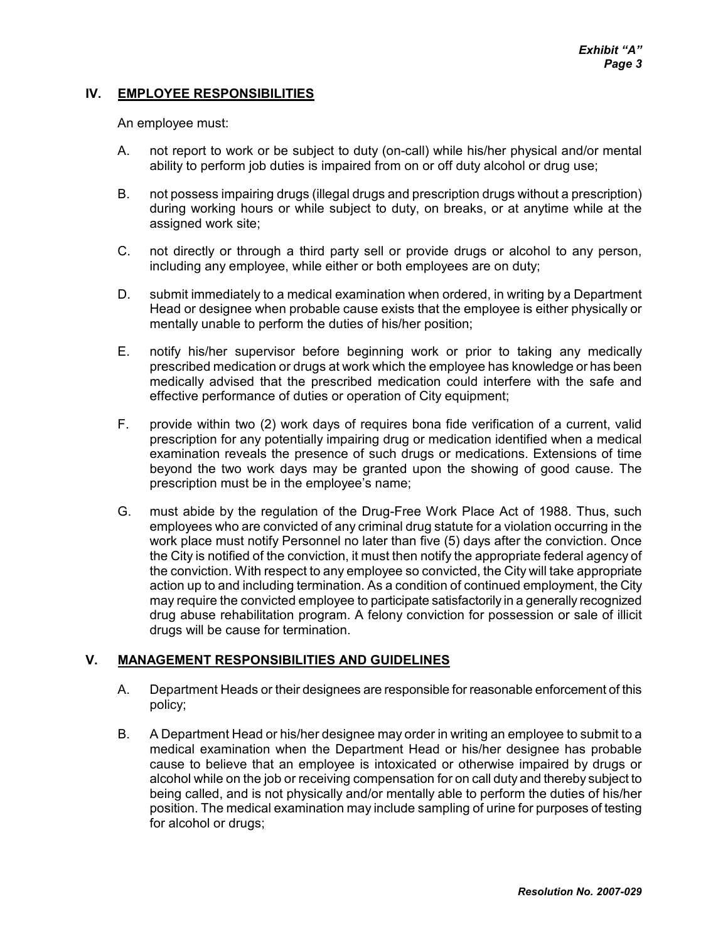### IV. EMPLOYEE RESPONSIBILITIES

An employee must:

- A. not report to work or be subject to duty (on-call) while his/her physical and/or mental ability to perform job duties is impaired from on or off duty alcohol or drug use;
- B. not possess impairing drugs (illegal drugs and prescription drugs without a prescription) during working hours or while subject to duty, on breaks, or at anytime while at the assigned work site;
- C. not directly or through a third party sell or provide drugs or alcohol to any person, including any employee, while either or both employees are on duty;
- D. submit immediately to a medical examination when ordered, in writing by a Department Head or designee when probable cause exists that the employee is either physically or mentally unable to perform the duties of his/her position;
- E. notify his/her supervisor before beginning work or prior to taking any medically prescribed medication or drugs at work which the employee has knowledge or has been medically advised that the prescribed medication could interfere with the safe and effective performance of duties or operation of City equipment;
- F. provide within two (2) work days of requires bona fide verification of a current, valid prescription for any potentially impairing drug or medication identified when a medical examination reveals the presence of such drugs or medications. Extensions of time beyond the two work days may be granted upon the showing of good cause. The prescription must be in the employee's name;
- G. must abide by the regulation of the Drug-Free Work Place Act of 1988. Thus, such employees who are convicted of any criminal drug statute for a violation occurring in the work place must notify Personnel no later than five (5) days after the conviction. Once the City is notified of the conviction, it must then notify the appropriate federal agency of the conviction. With respect to any employee so convicted, the City will take appropriate action up to and including termination. As a condition of continued employment, the City may require the convicted employee to participate satisfactorily in a generally recognized drug abuse rehabilitation program. A felony conviction for possession or sale of illicit drugs will be cause for termination.

#### V. MANAGEMENT RESPONSIBILITIES AND GUIDELINES

- A. Department Heads or their designees are responsible for reasonable enforcement of this policy;
- B. A Department Head or his/her designee may order in writing an employee to submit to a medical examination when the Department Head or his/her designee has probable cause to believe that an employee is intoxicated or otherwise impaired by drugs or alcohol while on the job or receiving compensation for on call duty and thereby subject to being called, and is not physically and/or mentally able to perform the duties of his/her position. The medical examination may include sampling of urine for purposes of testing for alcohol or drugs;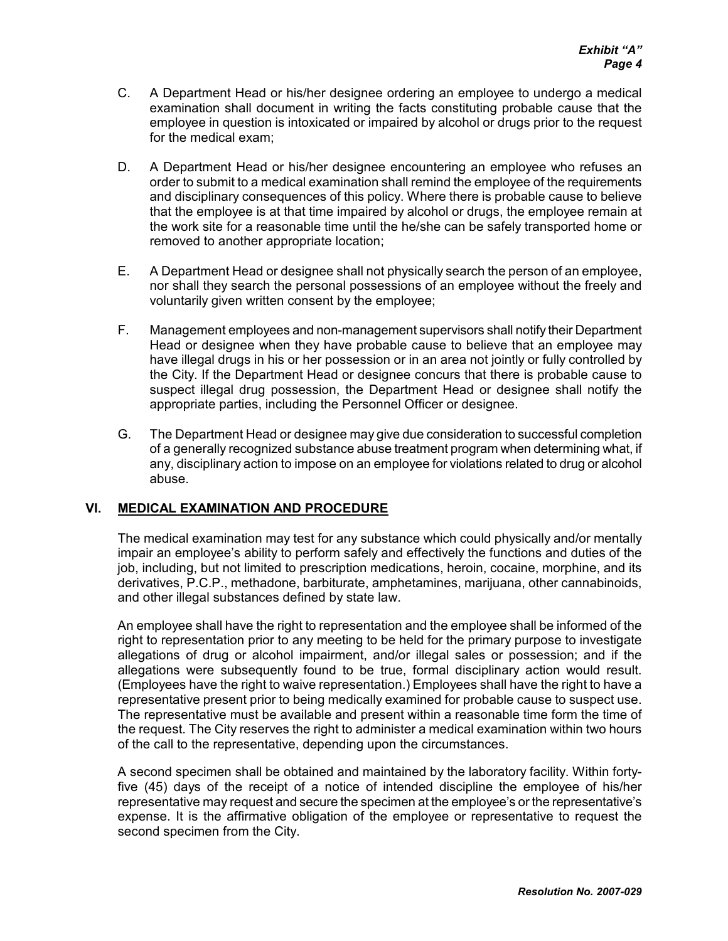- C. A Department Head or his/her designee ordering an employee to undergo a medical examination shall document in writing the facts constituting probable cause that the employee in question is intoxicated or impaired by alcohol or drugs prior to the request for the medical exam;
- D. A Department Head or his/her designee encountering an employee who refuses an order to submit to a medical examination shall remind the employee of the requirements and disciplinary consequences of this policy. Where there is probable cause to believe that the employee is at that time impaired by alcohol or drugs, the employee remain at the work site for a reasonable time until the he/she can be safely transported home or removed to another appropriate location;
- E. A Department Head or designee shall not physically search the person of an employee, nor shall they search the personal possessions of an employee without the freely and voluntarily given written consent by the employee;
- F. Management employees and non-management supervisors shall notify their Department Head or designee when they have probable cause to believe that an employee may have illegal drugs in his or her possession or in an area not jointly or fully controlled by the City. If the Department Head or designee concurs that there is probable cause to suspect illegal drug possession, the Department Head or designee shall notify the appropriate parties, including the Personnel Officer or designee.
- G. The Department Head or designee may give due consideration to successful completion of a generally recognized substance abuse treatment program when determining what, if any, disciplinary action to impose on an employee for violations related to drug or alcohol abuse.

# VI. MEDICAL EXAMINATION AND PROCEDURE

The medical examination may test for any substance which could physically and/or mentally impair an employee's ability to perform safely and effectively the functions and duties of the job, including, but not limited to prescription medications, heroin, cocaine, morphine, and its derivatives, P.C.P., methadone, barbiturate, amphetamines, marijuana, other cannabinoids, and other illegal substances defined by state law.

An employee shall have the right to representation and the employee shall be informed of the right to representation prior to any meeting to be held for the primary purpose to investigate allegations of drug or alcohol impairment, and/or illegal sales or possession; and if the allegations were subsequently found to be true, formal disciplinary action would result. (Employees have the right to waive representation.) Employees shall have the right to have a representative present prior to being medically examined for probable cause to suspect use. The representative must be available and present within a reasonable time form the time of the request. The City reserves the right to administer a medical examination within two hours of the call to the representative, depending upon the circumstances.

A second specimen shall be obtained and maintained by the laboratory facility. Within fortyfive (45) days of the receipt of a notice of intended discipline the employee of his/her representative may request and secure the specimen at the employee's or the representative's expense. It is the affirmative obligation of the employee or representative to request the second specimen from the City.